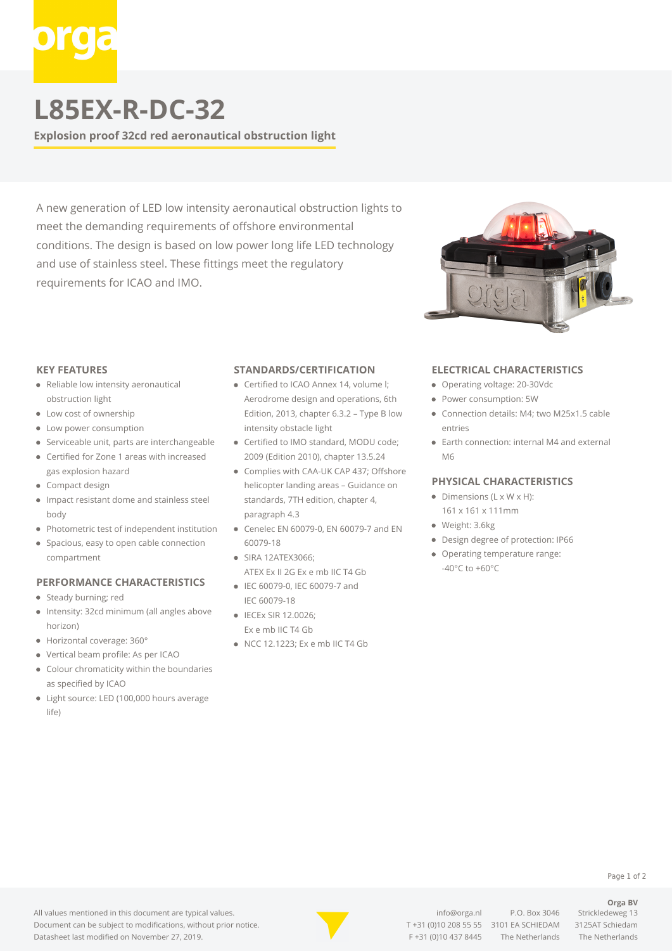# **L85EX-R-DC-32**

**Explosion proof 32cd red aeronautical obstruction light**

A new generation of LED low intensity aeronautical obstruction lights to meet the demanding requirements of offshore environmental conditions. The design is based on low power long life LED technology and use of stainless steel. These fittings meet the regulatory requirements for ICAO and IMO.



#### **KEY FEATURES**

- Reliable low intensity aeronautical obstruction light
- Low cost of ownership
- Low power consumption
- Serviceable unit, parts are interchangeable
- Certified for Zone 1 areas with increased gas explosion hazard
- Compact design
- Impact resistant dome and stainless steel body
- Photometric test of independent institution
- **•** Spacious, easy to open cable connection compartment

#### **PERFORMANCE CHARACTERISTICS**

- Steady burning; red
- $\bullet$ Intensity: 32cd minimum (all angles above horizon)
- Horizontal coverage: 360°
- Vertical beam profile: As per ICAO
- $\bullet$ Colour chromaticity within the boundaries as specified by ICAO
- Light source: LED (100,000 hours average life)

#### **STANDARDS/CERTIFICATION**

- Certified to ICAO Annex 14, volume I: Aerodrome design and operations, 6th Edition, 2013, chapter 6.3.2 – Type B low intensity obstacle light
- Certified to IMO standard, MODU code; 2009 (Edition 2010), chapter 13.5.24
- Complies with CAA-UK CAP 437; Offshore helicopter landing areas – Guidance on standards, 7TH edition, chapter 4, paragraph 4.3
- Cenelec EN 60079-0, EN 60079-7 and EN 60079-18
- SIRA 12ATEX3066; ATEX Ex II 2G Ex e mb IIC T4 Gb
- IEC 60079-0, IEC 60079-7 and IEC 60079-18
- IECEx SIR 12.0026: Ex e mb IIC T4 Gb
- NCC 12.1223; Ex e mb IIC T4 Gb

### **ELECTRICAL CHARACTERISTICS**

- Operating voltage: 20-30Vdc
- Power consumption: 5W
- Connection details: M4; two M25x1.5 cable entries
- Earth connection: internal M4 and external M6

#### **PHYSICAL CHARACTERISTICS**

- $\bullet$  Dimensions (L x W x H): 161 x 161 x 111mm
- Weight: 3.6kg
- Design degree of protection: IP66
- Operating temperature range: -40°C to +60°C



[info@orga.nl](mailto:info@orga.nl) P.O. Box 3046 Strickledeweg 13 T [+31 \(0\)10 208 55 55](#page--1-0) 3101 EA SCHIEDAM 3125AT Schiedam F +31 (0)10 437 8445 The Netherlands The Netherlands

**Orga BV**